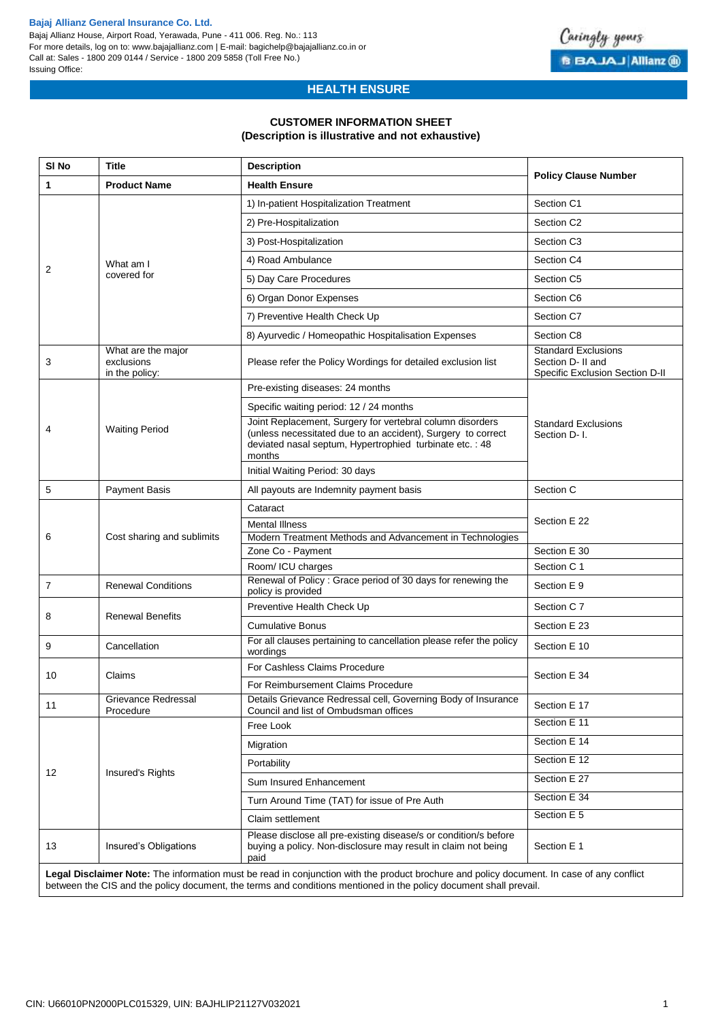#### **Bajaj Allianz General Insurance Co. Ltd.**

Bajaj Allianz House, Airport Road, Yerawada, Pune - 411 006. Reg. No.: 113 For more details, log on to: www.bajajallianz.com | E-mail: bagichelp@bajajallianz.co.in or Call at: Sales - 1800 209 0144 / Service - 1800 209 5858 (Toll Free No.) Issuing Office:



# **HEALTH ENSURE**

### **CUSTOMER INFORMATION SHEET**

#### **(Description is illustrative and not exhaustive)**

| SI <sub>No</sub> | <b>Title</b>                                       |                                                                                                                                                                                                                                                                |                                                                                    |  |  |
|------------------|----------------------------------------------------|----------------------------------------------------------------------------------------------------------------------------------------------------------------------------------------------------------------------------------------------------------------|------------------------------------------------------------------------------------|--|--|
| 1                | <b>Product Name</b>                                | <b>Health Ensure</b>                                                                                                                                                                                                                                           | <b>Policy Clause Number</b>                                                        |  |  |
| 2                |                                                    | 1) In-patient Hospitalization Treatment                                                                                                                                                                                                                        | Section C1                                                                         |  |  |
|                  |                                                    | 2) Pre-Hospitalization                                                                                                                                                                                                                                         | Section C <sub>2</sub>                                                             |  |  |
|                  | What am I<br>covered for                           | 3) Post-Hospitalization                                                                                                                                                                                                                                        | Section C <sub>3</sub>                                                             |  |  |
|                  |                                                    | 4) Road Ambulance                                                                                                                                                                                                                                              | Section C4                                                                         |  |  |
|                  |                                                    | 5) Day Care Procedures                                                                                                                                                                                                                                         | Section C <sub>5</sub>                                                             |  |  |
|                  |                                                    | 6) Organ Donor Expenses                                                                                                                                                                                                                                        | Section C6                                                                         |  |  |
|                  |                                                    | 7) Preventive Health Check Up                                                                                                                                                                                                                                  | Section C7                                                                         |  |  |
|                  |                                                    | 8) Ayurvedic / Homeopathic Hospitalisation Expenses                                                                                                                                                                                                            | Section C8                                                                         |  |  |
| 3                | What are the major<br>exclusions<br>in the policy: | Please refer the Policy Wordings for detailed exclusion list                                                                                                                                                                                                   | <b>Standard Exclusions</b><br>Section D- II and<br>Specific Exclusion Section D-II |  |  |
|                  |                                                    | Pre-existing diseases: 24 months                                                                                                                                                                                                                               |                                                                                    |  |  |
|                  |                                                    | Specific waiting period: 12 / 24 months                                                                                                                                                                                                                        |                                                                                    |  |  |
| 4                | <b>Waiting Period</b>                              | Joint Replacement, Surgery for vertebral column disorders<br>(unless necessitated due to an accident), Surgery to correct<br>deviated nasal septum, Hypertrophied turbinate etc.: 48<br>months                                                                 | <b>Standard Exclusions</b><br>Section D-1.                                         |  |  |
|                  |                                                    | Initial Waiting Period: 30 days                                                                                                                                                                                                                                |                                                                                    |  |  |
| 5                | <b>Payment Basis</b>                               | All payouts are Indemnity payment basis                                                                                                                                                                                                                        | Section C                                                                          |  |  |
|                  |                                                    | Cataract                                                                                                                                                                                                                                                       | Section E 22                                                                       |  |  |
|                  | Cost sharing and sublimits                         | <b>Mental Illness</b>                                                                                                                                                                                                                                          |                                                                                    |  |  |
| 6                |                                                    | Modern Treatment Methods and Advancement in Technologies                                                                                                                                                                                                       |                                                                                    |  |  |
|                  |                                                    | Zone Co - Payment                                                                                                                                                                                                                                              | Section E 30                                                                       |  |  |
|                  |                                                    | Room/ ICU charges                                                                                                                                                                                                                                              | Section C 1                                                                        |  |  |
| 7                | <b>Renewal Conditions</b>                          | Renewal of Policy: Grace period of 30 days for renewing the<br>policy is provided                                                                                                                                                                              | Section E 9                                                                        |  |  |
|                  |                                                    | Preventive Health Check Up                                                                                                                                                                                                                                     | Section C 7                                                                        |  |  |
| 8                | <b>Renewal Benefits</b>                            | <b>Cumulative Bonus</b>                                                                                                                                                                                                                                        | Section E 23                                                                       |  |  |
| 9                | Cancellation                                       | For all clauses pertaining to cancellation please refer the policy<br>wordings                                                                                                                                                                                 | Section E 10                                                                       |  |  |
|                  |                                                    | For Cashless Claims Procedure                                                                                                                                                                                                                                  | Section E 34                                                                       |  |  |
| 10               | Claims                                             | For Reimbursement Claims Procedure                                                                                                                                                                                                                             |                                                                                    |  |  |
| 11               | Grievance Redressal<br>Procedure                   | Details Grievance Redressal cell, Governing Body of Insurance<br>Council and list of Ombudsman offices                                                                                                                                                         | Section E 17                                                                       |  |  |
|                  | Insured's Rights                                   | Free Look                                                                                                                                                                                                                                                      | Section E 11                                                                       |  |  |
|                  |                                                    | Migration                                                                                                                                                                                                                                                      | Section E 14                                                                       |  |  |
|                  |                                                    | Portability                                                                                                                                                                                                                                                    | Section E 12                                                                       |  |  |
| 12               |                                                    | Sum Insured Enhancement                                                                                                                                                                                                                                        | Section E 27                                                                       |  |  |
|                  |                                                    | Turn Around Time (TAT) for issue of Pre Auth                                                                                                                                                                                                                   | Section E 34                                                                       |  |  |
|                  |                                                    | Claim settlement                                                                                                                                                                                                                                               | Section E 5                                                                        |  |  |
| 13               | Insured's Obligations                              | Please disclose all pre-existing disease/s or condition/s before<br>buying a policy. Non-disclosure may result in claim not being<br>paid                                                                                                                      | Section E 1                                                                        |  |  |
|                  |                                                    | Legal Disclaimer Note: The information must be read in conjunction with the product brochure and policy document. In case of any conflict<br>between the CIS and the policy document, the terms and conditions mentioned in the policy document shall prevail. |                                                                                    |  |  |